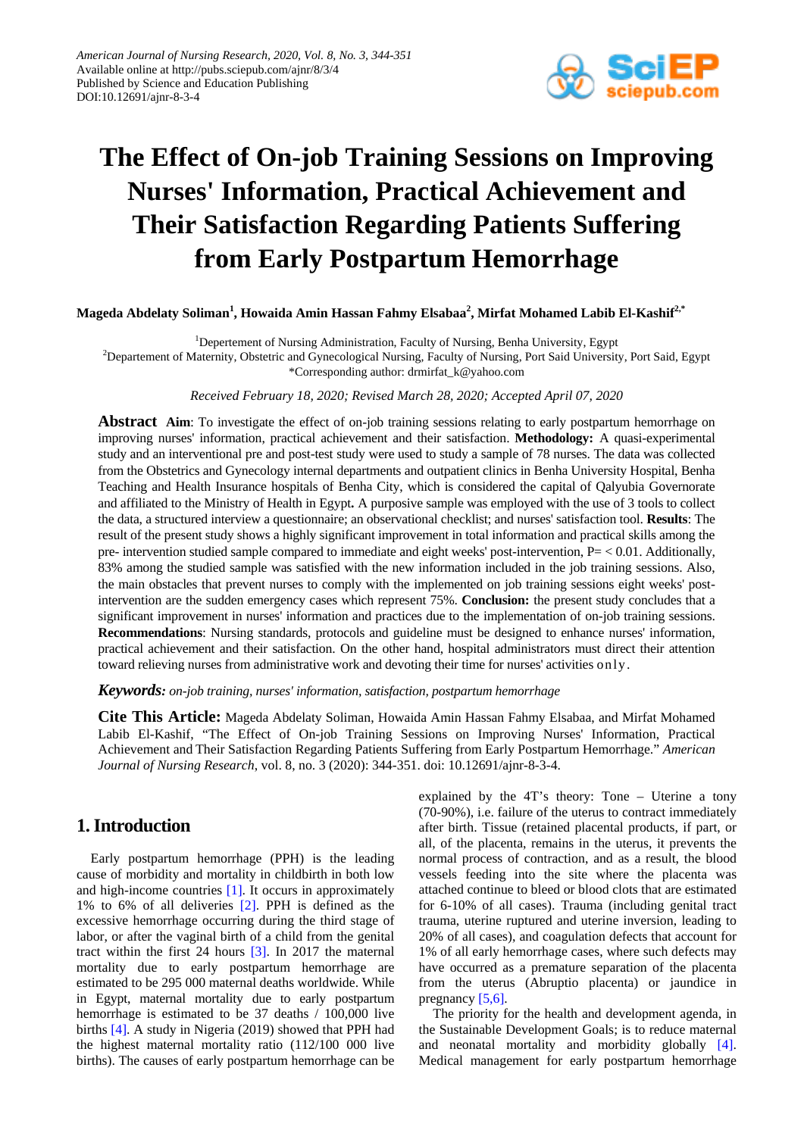

# **The Effect of On-job Training Sessions on Improving Nurses' Information, Practical Achievement and Their Satisfaction Regarding Patients Suffering from Early Postpartum Hemorrhage**

**Mageda Abdelaty Soliman<sup>1</sup> , Howaida Amin Hassan Fahmy Elsabaa<sup>2</sup> , Mirfat Mohamed Labib El-Kashif2,\***

<sup>1</sup>Depertement of Nursing Administration, Faculty of Nursing, Benha University, Egypt<sup>2</sup><br><sup>2</sup>Depertement of Maternity, Obstatric and Gynecological Nursing, Faculty of Nursing, Port Said University

<sup>2</sup>Departement of Maternity, Obstetric and Gynecological Nursing, Faculty of Nursing, Port Said University, Port Said, Egypt \*Corresponding author: drmirfat\_k@yahoo.com

*Received February 18, 2020; Revised March 28, 2020; Accepted April 07, 2020*

**Abstract Aim**: To investigate the effect of on-job training sessions relating to early postpartum hemorrhage on improving nurses' information, practical achievement and their satisfaction. **Methodology:** A quasi-experimental study and an interventional pre and post-test study were used to study a sample of 78 nurses. The data was collected from the Obstetrics and Gynecology internal departments and outpatient clinics in Benha University Hospital, Benha Teaching and Health Insurance hospitals of Benha City, which is considered the capital of Qalyubia Governorate and affiliated to the Ministry of Health in Egypt**.** A purposive sample was employed with the use of 3 tools to collect the data, a structured interview a questionnaire; an observational checklist; and nurses' satisfaction tool. **Results**: The result of the present study shows a highly significant improvement in total information and practical skills among the pre- intervention studied sample compared to immediate and eight weeks' post-intervention, P= < 0.01. Additionally, 83% among the studied sample was satisfied with the new information included in the job training sessions. Also, the main obstacles that prevent nurses to comply with the implemented on job training sessions eight weeks' postintervention are the sudden emergency cases which represent 75%. **Conclusion:** the present study concludes that a significant improvement in nurses' information and practices due to the implementation of on-job training sessions. **Recommendations**: Nursing standards, protocols and guideline must be designed to enhance nurses' information, practical achievement and their satisfaction. On the other hand, hospital administrators must direct their attention toward relieving nurses from administrative work and devoting their time for nurses' activities only.

*Keywords: on-job training, nurses' information, satisfaction, postpartum hemorrhage*

**Cite This Article:** Mageda Abdelaty Soliman, Howaida Amin Hassan Fahmy Elsabaa, and Mirfat Mohamed Labib El-Kashif, "The Effect of On-job Training Sessions on Improving Nurses' Information, Practical Achievement and Their Satisfaction Regarding Patients Suffering from Early Postpartum Hemorrhage." *American Journal of Nursing Research*, vol. 8, no. 3 (2020): 344-351. doi: 10.12691/ajnr-8-3-4.

# **1. Introduction**

Early postpartum hemorrhage (PPH) is the leading cause of morbidity and mortality in childbirth in both low and high-income countries [\[1\].](#page-6-0) It occurs in approximately 1% to 6% of all deliveries [\[2\].](#page-7-0) PPH is defined as the excessive hemorrhage occurring during the third stage of labor, or after the vaginal birth of a child from the genital tract within the first 24 hours [\[3\].](#page-7-1) In 2017 the maternal mortality due to early postpartum hemorrhage are estimated to be 295 000 maternal deaths worldwide. While in Egypt, maternal mortality due to early postpartum hemorrhage is estimated to be 37 deaths / 100,000 live births [\[4\].](#page-7-2) A study in Nigeria (2019) showed that PPH had the highest maternal mortality ratio (112/100 000 live births). The causes of early postpartum hemorrhage can be

explained by the 4T's theory: Tone – Uterine a tony (70-90%), i.e. failure of the uterus to contract immediately after birth. Tissue (retained placental products, if part, or all, of the placenta, remains in the uterus, it prevents the normal process of contraction, and as a result, the blood vessels feeding into the site where the placenta was attached continue to bleed or blood clots that are estimated for 6-10% of all cases). Trauma (including genital tract trauma, uterine ruptured and uterine inversion, leading to 20% of all cases), and coagulation defects that account for 1% of all early hemorrhage cases, where such defects may have occurred as a premature separation of the placenta from the uterus (Abruptio placenta) or jaundice in pregnancy [\[5,6\].](#page-7-3) 

The priority for the health and development agenda, in the Sustainable Development Goals; is to reduce maternal and neonatal mortality and morbidity globally [\[4\].](#page-7-2) Medical management for early postpartum hemorrhage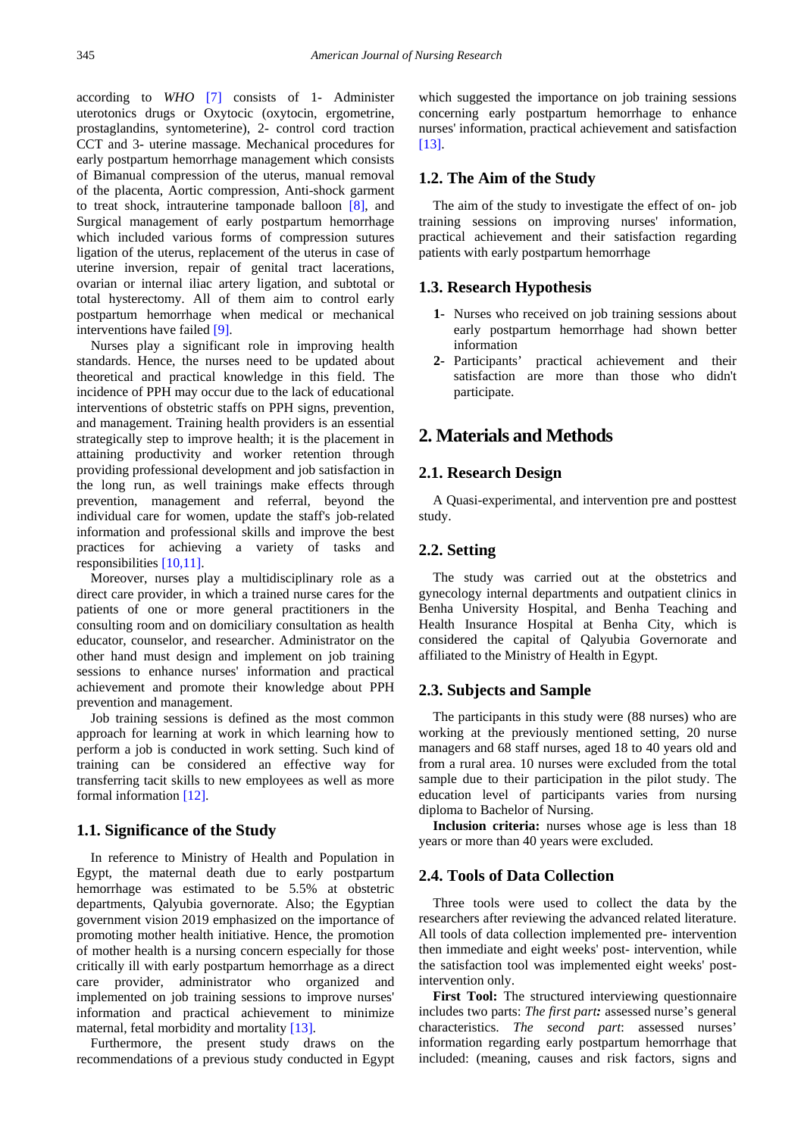according to *WHO* [\[7\]](#page-7-4) consists of 1- Administer uterotonics drugs or Oxytocic (oxytocin, ergometrine, prostaglandins, syntometerine), 2- control cord traction CCT and 3- uterine massage. Mechanical procedures for early postpartum hemorrhage management which consists of Bimanual compression of the uterus, manual removal of the placenta, Aortic compression, Anti-shock garment to treat shock, intrauterine tamponade balloon [\[8\],](#page-7-5) and Surgical management of early postpartum hemorrhage which included various forms of compression sutures ligation of the uterus, replacement of the uterus in case of uterine inversion, repair of genital tract lacerations, ovarian or internal iliac artery ligation, and subtotal or total hysterectomy. All of them aim to control early postpartum hemorrhage when medical or mechanical interventions have failed [\[9\].](#page-7-6)

Nurses play a significant role in improving health standards. Hence, the nurses need to be updated about theoretical and practical knowledge in this field. The incidence of PPH may occur due to the lack of educational interventions of obstetric staffs on PPH signs, prevention, and management. Training health providers is an essential strategically step to improve health; it is the placement in attaining productivity and worker retention through providing professional development and job satisfaction in the long run, as well trainings make effects through prevention, management and referral, beyond the individual care for women, update the staff's job-related information and professional skills and improve the best practices for achieving a variety of tasks and responsibilities [\[10,11\].](#page-7-7)

Moreover, nurses play a multidisciplinary role as a direct care provider, in which a trained nurse cares for the patients of one or more general practitioners in the consulting room and on domiciliary consultation as health educator, counselor, and researcher. Administrator on the other hand must design and implement on job training sessions to enhance nurses' information and practical achievement and promote their knowledge about PPH prevention and management.

Job training sessions is defined as the most common approach for learning at work in which learning how to perform a job is conducted in work setting. Such kind of training can be considered an effective way for transferring tacit skills to new employees as well as more formal information [\[12\].](#page-7-8)

### **1.1. Significance of the Study**

In reference to Ministry of Health and Population in Egypt, the maternal death due to early postpartum hemorrhage was estimated to be 5.5% at obstetric departments, Qalyubia governorate. Also; the Egyptian government vision 2019 emphasized on the importance of promoting mother health initiative. Hence, the promotion of mother health is a nursing concern especially for those critically ill with early postpartum hemorrhage as a direct care provider, administrator who organized and implemented on job training sessions to improve nurses' information and practical achievement to minimize maternal, fetal morbidity and mortality [\[13\].](#page-7-9)

Furthermore, the present study draws on the recommendations of a previous study conducted in Egypt which suggested the importance on job training sessions concerning early postpartum hemorrhage to enhance nurses' information, practical achievement and satisfaction [\[13\].](#page-7-9)

### **1.2. The Aim of the Study**

The aim of the study to investigate the effect of on- job training sessions on improving nurses' information, practical achievement and their satisfaction regarding patients with early postpartum hemorrhage

### **1.3. Research Hypothesis**

- **1-** Nurses who received on job training sessions about early postpartum hemorrhage had shown better information
- **2-** Participants' practical achievement and their satisfaction are more than those who didn't participate.

# **2. Materials and Methods**

### **2.1. Research Design**

A Quasi-experimental, and intervention pre and posttest study.

### **2.2. Setting**

The study was carried out at the obstetrics and gynecology internal departments and outpatient clinics in Benha University Hospital, and Benha Teaching and Health Insurance Hospital at Benha City, which is considered the capital of Qalyubia Governorate and affiliated to the Ministry of Health in Egypt.

### **2.3. Subjects and Sample**

The participants in this study were (88 nurses) who are working at the previously mentioned setting, 20 nurse managers and 68 staff nurses, aged 18 to 40 years old and from a rural area. 10 nurses were excluded from the total sample due to their participation in the pilot study. The education level of participants varies from nursing diploma to Bachelor of Nursing.

**Inclusion criteria:** nurses whose age is less than 18 years or more than 40 years were excluded.

### **2.4. Tools of Data Collection**

Three tools were used to collect the data by the researchers after reviewing the advanced related literature. All tools of data collection implemented pre- intervention then immediate and eight weeks' post- intervention, while the satisfaction tool was implemented eight weeks' postintervention only.

First Tool: The structured interviewing questionnaire includes two parts: *The first part:* assessed nurse's general characteristics. *The second part*: assessed nurses' information regarding early postpartum hemorrhage that included: (meaning, causes and risk factors, signs and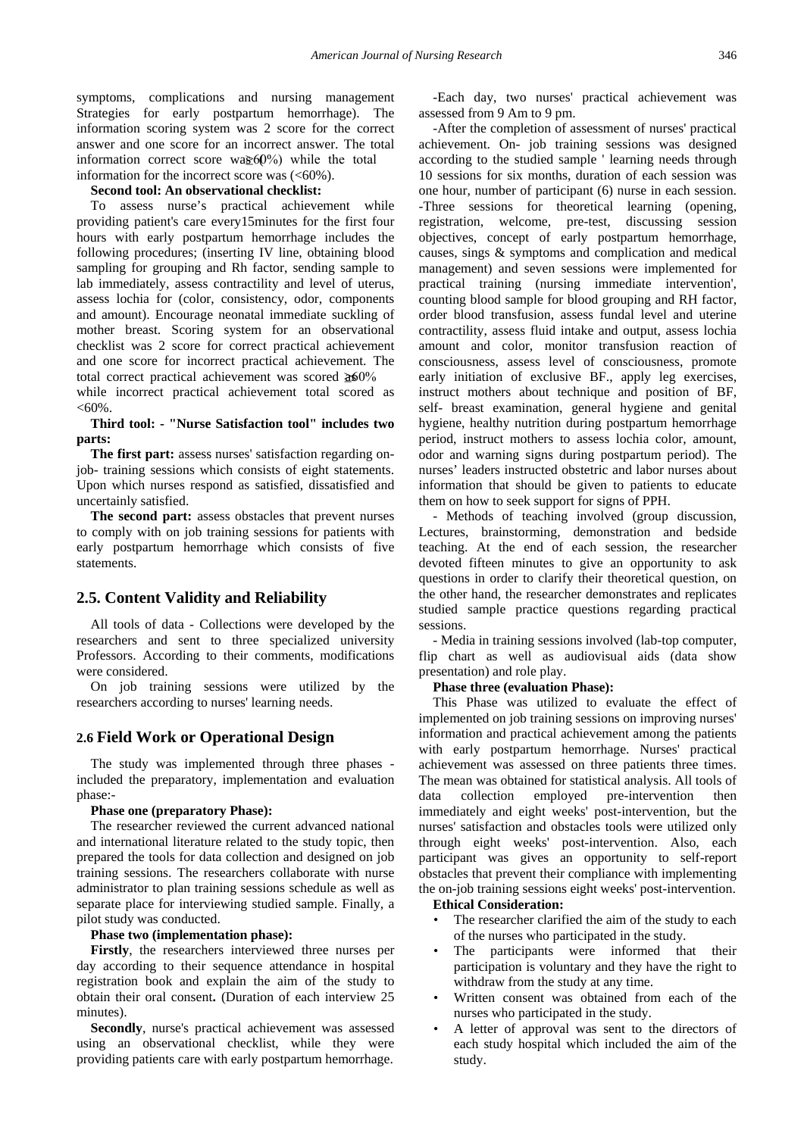symptoms, complications and nursing management Strategies for early postpartum hemorrhage). The information scoring system was 2 score for the correct answer and one score for an incorrect answer. The total information correct score was  $60\%$  while the total information for the incorrect score was  $(<60\%)$ .

#### **Second tool: An observational checklist:**

To assess nurse's practical achievement while providing patient's care every15minutes for the first four hours with early postpartum hemorrhage includes the following procedures; (inserting IV line, obtaining blood sampling for grouping and Rh factor, sending sample to lab immediately, assess contractility and level of uterus, assess lochia for (color, consistency, odor, components and amount). Encourage neonatal immediate suckling of mother breast. Scoring system for an observational checklist was 2 score for correct practical achievement and one score for incorrect practical achievement. The total correct practical achievement was scored  $\geq 60\%$ 

while incorrect practical achievement total scored as  $< 60\%$ .

#### **Third tool: - "Nurse Satisfaction tool" includes two parts:**

**The first part:** assess nurses' satisfaction regarding onjob- training sessions which consists of eight statements. Upon which nurses respond as satisfied, dissatisfied and uncertainly satisfied.

**The second part:** assess obstacles that prevent nurses to comply with on job training sessions for patients with early postpartum hemorrhage which consists of five statements.

### **2.5. Content Validity and Reliability**

All tools of data - Collections were developed by the researchers and sent to three specialized university Professors. According to their comments, modifications were considered.

On job training sessions were utilized by the researchers according to nurses' learning needs.

### **2.6 Field Work or Operational Design**

The study was implemented through three phases included the preparatory, implementation and evaluation phase:-

#### **Phase one (preparatory Phase):**

The researcher reviewed the current advanced national and international literature related to the study topic, then prepared the tools for data collection and designed on job training sessions. The researchers collaborate with nurse administrator to plan training sessions schedule as well as separate place for interviewing studied sample. Finally, a pilot study was conducted.

#### **Phase two (implementation phase):**

**Firstly**, the researchers interviewed three nurses per day according to their sequence attendance in hospital registration book and explain the aim of the study to obtain their oral consent**.** (Duration of each interview 25 minutes).

**Secondly**, nurse's practical achievement was assessed using an observational checklist, while they were providing patients care with early postpartum hemorrhage.

-Each day, two nurses' practical achievement was assessed from 9 Am to 9 pm.

-After the completion of assessment of nurses' practical achievement. On- job training sessions was designed according to the studied sample ' learning needs through 10 sessions for six months, duration of each session was one hour, number of participant (6) nurse in each session. -Three sessions for theoretical learning (opening, registration, welcome, pre-test, discussing session objectives, concept of early postpartum hemorrhage, causes, sings & symptoms and complication and medical management) and seven sessions were implemented for practical training (nursing immediate intervention', counting blood sample for blood grouping and RH factor, order blood transfusion, assess fundal level and uterine contractility, assess fluid intake and output, assess lochia amount and color, monitor transfusion reaction of consciousness, assess level of consciousness, promote early initiation of exclusive BF., apply leg exercises, instruct mothers about technique and position of BF, self- breast examination, general hygiene and genital hygiene, healthy nutrition during postpartum hemorrhage period, instruct mothers to assess lochia color, amount, odor and warning signs during postpartum period). The nurses' leaders instructed obstetric and labor nurses about information that should be given to patients to educate them on how to seek support for signs of PPH.

- Methods of teaching involved (group discussion, Lectures, brainstorming, demonstration and bedside teaching. At the end of each session, the researcher devoted fifteen minutes to give an opportunity to ask questions in order to clarify their theoretical question, on the other hand, the researcher demonstrates and replicates studied sample practice questions regarding practical sessions.

- Media in training sessions involved (lab-top computer, flip chart as well as audiovisual aids (data show presentation) and role play.

#### **Phase three (evaluation Phase):**

This Phase was utilized to evaluate the effect of implemented on job training sessions on improving nurses' information and practical achievement among the patients with early postpartum hemorrhage. Nurses' practical achievement was assessed on three patients three times. The mean was obtained for statistical analysis. All tools of data collection employed pre-intervention then immediately and eight weeks' post-intervention, but the nurses' satisfaction and obstacles tools were utilized only through eight weeks' post-intervention. Also, each participant was gives an opportunity to self-report obstacles that prevent their compliance with implementing the on-job training sessions eight weeks' post-intervention.

#### **Ethical Consideration:**

- The researcher clarified the aim of the study to each of the nurses who participated in the study.
- The participants were informed that their participation is voluntary and they have the right to withdraw from the study at any time.
- Written consent was obtained from each of the nurses who participated in the study.
- A letter of approval was sent to the directors of each study hospital which included the aim of the study.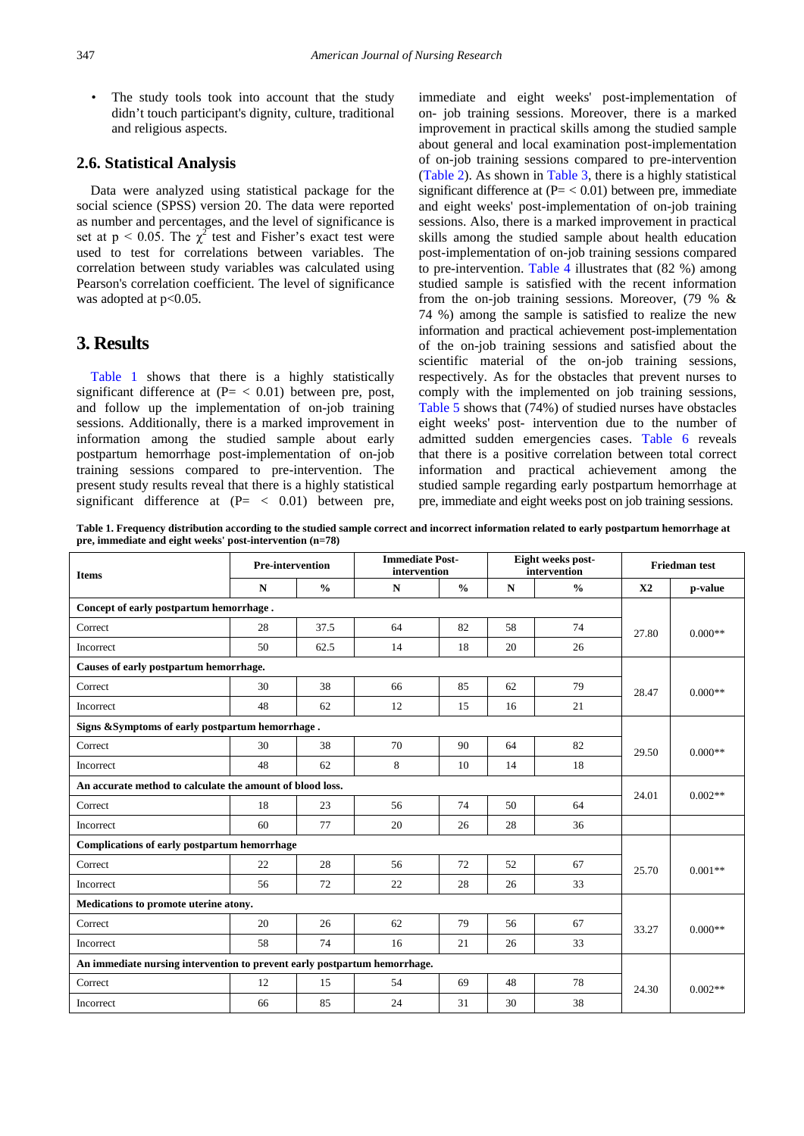• The study tools took into account that the study didn't touch participant's dignity, culture, traditional and religious aspects.

### **2.6. Statistical Analysis**

Data were analyzed using statistical package for the social science (SPSS) version 20. The data were reported as number and percentages, and the level of significance is set at  $p < 0.05$ . The  $\chi^2$  test and Fisher's exact test were used to test for correlations between variables. The correlation between study variables was calculated using Pearson's correlation coefficient. The level of significance was adopted at p<0.05.

# **3. Results**

[Table 1](#page-3-0) shows that there is a highly statistically significant difference at  $(P = < 0.01)$  between pre, post, and follow up the implementation of on-job training sessions. Additionally, there is a marked improvement in information among the studied sample about early postpartum hemorrhage post-implementation of on-job training sessions compared to pre-intervention. The present study results reveal that there is a highly statistical significant difference at  $(P = \langle 0.01 \rangle)$  between pre,

immediate and eight weeks' post-implementation of on- job training sessions. Moreover, there is a marked improvement in practical skills among the studied sample about general and local examination post-implementation of on-job training sessions compared to pre-intervention [\(Table 2\)](#page-4-0). As shown in [Table 3,](#page-4-1) there is a highly statistical significant difference at  $(P = < 0.01)$  between pre, immediate and eight weeks' post-implementation of on-job training sessions. Also, there is a marked improvement in practical skills among the studied sample about health education post-implementation of on-job training sessions compared to pre-intervention. [Table 4](#page-5-0) illustrates that (82 %) among studied sample is satisfied with the recent information from the on-job training sessions. Moreover, (79 % & 74 %) among the sample is satisfied to realize the new information and practical achievement post-implementation of the on-job training sessions and satisfied about the scientific material of the on-job training sessions, respectively. As for the obstacles that prevent nurses to comply with the implemented on job training sessions, [Table 5](#page-5-1) shows that (74%) of studied nurses have obstacles eight weeks' post- intervention due to the number of admitted sudden emergencies cases. [Table 6](#page-5-2) reveals that there is a positive correlation between total correct information and practical achievement among the studied sample regarding early postpartum hemorrhage at pre, immediate and eight weeks post on job training sessions.

**Table 1. Frequency distribution according to the studied sample correct and incorrect information related to early postpartum hemorrhage at pre, immediate and eight weeks' post-intervention (n=78)**

<span id="page-3-0"></span>

| <b>Items</b>                                                              | <b>Pre-intervention</b> |               | <b>Immediate Post-</b><br>intervention |               |             | Eight weeks post-<br>intervention | <b>Friedman</b> test |           |
|---------------------------------------------------------------------------|-------------------------|---------------|----------------------------------------|---------------|-------------|-----------------------------------|----------------------|-----------|
|                                                                           | N                       | $\frac{0}{0}$ | N                                      | $\frac{0}{0}$ | $\mathbf N$ | $\frac{0}{0}$                     | X <sub>2</sub>       | p-value   |
| Concept of early postpartum hemorrhage.                                   |                         |               |                                        |               |             |                                   |                      |           |
| Correct                                                                   | 28                      | 37.5          | 64                                     | 82            | 58          | 74                                | 27.80                | $0.000**$ |
| Incorrect                                                                 | 50                      | 62.5          | 14                                     | 18            | 20          | 26                                |                      |           |
| Causes of early postpartum hemorrhage.                                    |                         |               |                                        |               |             |                                   |                      |           |
| Correct                                                                   | 30                      | 38            | 66                                     | 85            | 62          | 79                                | 28.47                | $0.000**$ |
| Incorrect                                                                 | 48                      | 62            | 12                                     | 15            | 16          | 21                                |                      |           |
| Signs & Symptoms of early postpartum hemorrhage.                          |                         |               |                                        |               |             |                                   |                      |           |
| Correct                                                                   | 30                      | 38            | 70                                     | 90            | 64          | 82                                | 29.50                | $0.000**$ |
| Incorrect                                                                 | 48                      | 62            | 8                                      | 10            | 14          | 18                                |                      |           |
| An accurate method to calculate the amount of blood loss.                 |                         |               |                                        |               |             |                                   | 24.01                | $0.002**$ |
| Correct                                                                   | 18                      | 23            | 56                                     | 74            | 50          | 64                                |                      |           |
| Incorrect                                                                 | 60                      | 77            | 20                                     | 26            | 28          | 36                                |                      |           |
| Complications of early postpartum hemorrhage                              |                         |               |                                        |               |             |                                   |                      |           |
| Correct                                                                   | 22                      | 28            | 56                                     | 72            | 52          | 67                                | 25.70                | $0.001**$ |
| Incorrect                                                                 | 56                      | 72            | 22                                     | 28            | 26          | 33                                |                      |           |
| Medications to promote uterine atony.                                     |                         |               |                                        |               |             |                                   |                      |           |
| Correct                                                                   | 20                      | 26            | 62                                     | 79            | 56          | 67                                | 33.27                | $0.000**$ |
| Incorrect                                                                 | 58                      | 74            | 16                                     | 21            | 26          | 33                                |                      |           |
| An immediate nursing intervention to prevent early postpartum hemorrhage. |                         |               |                                        |               |             |                                   |                      |           |
| Correct                                                                   | 12                      | 15            | 54                                     | 69            | 48          | 78                                | 24.30                | $0.002**$ |
| Incorrect                                                                 | 66                      | 85            | 24                                     | 31            | 30          | 38                                |                      |           |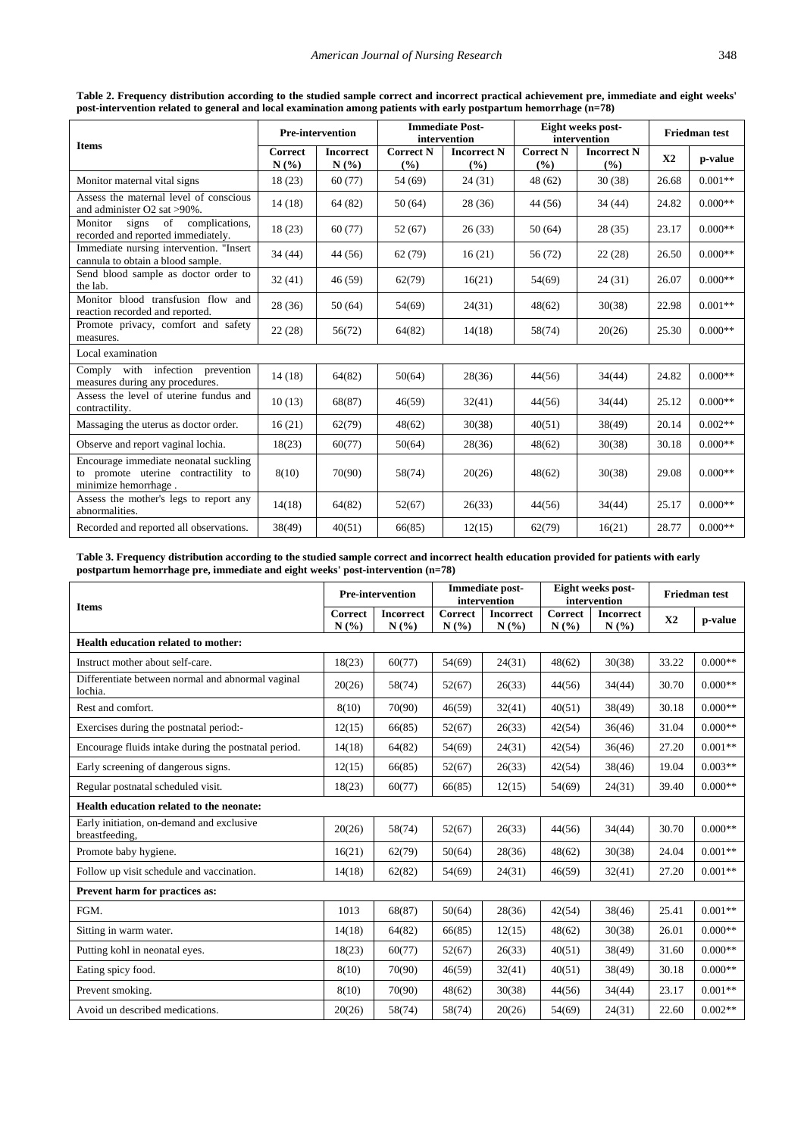<span id="page-4-0"></span>

| <b>Items</b>                                                                                         |                 | <b>Pre-intervention</b>  | <b>Immediate Post-</b><br>intervention |                             |                         | Eight weeks post-<br>intervention | <b>Friedman test</b> |           |  |
|------------------------------------------------------------------------------------------------------|-----------------|--------------------------|----------------------------------------|-----------------------------|-------------------------|-----------------------------------|----------------------|-----------|--|
|                                                                                                      | Correct<br>N(%) | <b>Incorrect</b><br>N(%) | <b>Correct N</b><br>(%)                | <b>Incorrect N</b><br>(9/0) | <b>Correct N</b><br>(%) | <b>Incorrect N</b><br>(%)         | X2                   | p-value   |  |
| Monitor maternal vital signs                                                                         | 18(23)          | 60(77)                   | 54 (69)                                | 24(31)                      | 48 (62)                 | 30(38)                            | 26.68                | $0.001**$ |  |
| Assess the maternal level of conscious<br>and administer O2 sat >90%.                                | 14(18)          | 64 (82)                  | 50(64)                                 | 28(36)                      | 44 (56)                 | 34 (44)                           | 24.82                | $0.000**$ |  |
| of<br>complications,<br>Monitor<br>signs<br>recorded and reported immediately.                       | 18(23)          | 60(77)                   | 52(67)                                 | 26(33)                      | 50(64)                  | 28(35)                            | 23.17                | $0.000**$ |  |
| Immediate nursing intervention. "Insert<br>cannula to obtain a blood sample.                         | 34 (44)         | 44 (56)                  | 62(79)                                 | 16(21)                      | 56 (72)                 | 22(28)                            | 26.50                | $0.000**$ |  |
| Send blood sample as doctor order to<br>the lab.                                                     | 32(41)          | 46(59)                   | 62(79)                                 | 16(21)                      | 54(69)                  | 24(31)                            | 26.07                | $0.000**$ |  |
| Monitor blood transfusion flow and<br>reaction recorded and reported.                                | 28 (36)         | 50(64)                   | 54(69)                                 | 24(31)                      | 48(62)                  | 30(38)                            | 22.98                | $0.001**$ |  |
| Promote privacy, comfort and safety<br>measures.                                                     | 22(28)          | 56(72)                   | 64(82)                                 | 14(18)                      | 58(74)                  | 20(26)                            | 25.30                | $0.000**$ |  |
| Local examination                                                                                    |                 |                          |                                        |                             |                         |                                   |                      |           |  |
| Comply<br>with infection prevention<br>measures during any procedures.                               | 14(18)          | 64(82)                   | 50(64)                                 | 28(36)                      | 44(56)                  | 34(44)                            | 24.82                | $0.000**$ |  |
| Assess the level of uterine fundus and<br>contractility.                                             | 10(13)          | 68(87)                   | 46(59)                                 | 32(41)                      | 44(56)                  | 34(44)                            | 25.12                | $0.000**$ |  |
| Massaging the uterus as doctor order.                                                                | 16(21)          | 62(79)                   | 48(62)                                 | 30(38)                      | 40(51)                  | 38(49)                            | 20.14                | $0.002**$ |  |
| Observe and report vaginal lochia.                                                                   | 18(23)          | 60(77)                   | 50(64)                                 | 28(36)                      | 48(62)                  | 30(38)                            | 30.18                | $0.000**$ |  |
| Encourage immediate neonatal suckling<br>to promote uterine contractility to<br>minimize hemorrhage. | 8(10)           | 70(90)                   | 58(74)                                 | 20(26)                      | 48(62)                  | 30(38)                            | 29.08                | $0.000**$ |  |
| Assess the mother's legs to report any<br>abnormalities.                                             | 14(18)          | 64(82)                   | 52(67)                                 | 26(33)                      | 44(56)                  | 34(44)                            | 25.17                | $0.000**$ |  |
| Recorded and reported all observations.                                                              | 38(49)          | 40(51)                   | 66(85)                                 | 12(15)                      | 62(79)                  | 16(21)                            | 28.77                | $0.000**$ |  |

**Table 2. Frequency distribution according to the studied sample correct and incorrect practical achievement pre, immediate and eight weeks' post-intervention related to general and local examination among patients with early postpartum hemorrhage (n=78)**

**Table 3. Frequency distribution according to the studied sample correct and incorrect health education provided for patients with early postpartum hemorrhage pre, immediate and eight weeks' post-intervention (n=78)**

<span id="page-4-1"></span>

|                                                              |                        | <b>Pre-intervention</b>  |                        | Immediate post-<br>intervention | Eight weeks post-<br>intervention |                          | <b>Friedman test</b> |           |
|--------------------------------------------------------------|------------------------|--------------------------|------------------------|---------------------------------|-----------------------------------|--------------------------|----------------------|-----------|
| <b>Items</b>                                                 | <b>Correct</b><br>N(%) | <b>Incorrect</b><br>N(%) | <b>Correct</b><br>N(%) | <b>Incorrect</b><br>N(%)        | <b>Correct</b><br>N(%)            | <b>Incorrect</b><br>N(%) | X2                   | p-value   |
| Health education related to mother:                          |                        |                          |                        |                                 |                                   |                          |                      |           |
| Instruct mother about self-care.                             | 18(23)                 | 60(77)                   | 54(69)                 | 24(31)                          | 48(62)                            | 30(38)                   | 33.22                | $0.000**$ |
| Differentiate between normal and abnormal vaginal<br>lochia. | 20(26)                 | 58(74)                   | 52(67)                 | 26(33)                          | 44(56)                            | 34(44)                   | 30.70                | $0.000**$ |
| Rest and comfort.                                            | 8(10)                  | 70(90)                   | 46(59)                 | 32(41)                          | 40(51)                            | 38(49)                   | 30.18                | $0.000**$ |
| Exercises during the postnatal period:-                      | 12(15)                 | 66(85)                   | 52(67)                 | 26(33)                          | 42(54)                            | 36(46)                   | 31.04                | $0.000**$ |
| Encourage fluids intake during the postnatal period.         | 14(18)                 | 64(82)                   | 54(69)                 | 24(31)                          | 42(54)                            | 36(46)                   | 27.20                | $0.001**$ |
| Early screening of dangerous signs.                          | 12(15)                 | 66(85)                   | 52(67)                 | 26(33)                          | 42(54)                            | 38(46)                   | 19.04                | $0.003**$ |
| Regular postnatal scheduled visit.                           | 18(23)                 | 60(77)                   | 66(85)                 | 12(15)                          | 54(69)                            | 24(31)                   | 39.40                | $0.000**$ |
| Health education related to the neonate:                     |                        |                          |                        |                                 |                                   |                          |                      |           |
| Early initiation, on-demand and exclusive<br>breastfeeding,  | 20(26)                 | 58(74)                   | 52(67)                 | 26(33)                          | 44(56)                            | 34(44)                   | 30.70                | $0.000**$ |
| Promote baby hygiene.                                        | 16(21)                 | 62(79)                   | 50(64)                 | 28(36)                          | 48(62)                            | 30(38)                   | 24.04                | $0.001**$ |
| Follow up visit schedule and vaccination.                    | 14(18)                 | 62(82)                   | 54(69)                 | 24(31)                          | 46(59)                            | 32(41)                   | 27.20                | $0.001**$ |
| Prevent harm for practices as:                               |                        |                          |                        |                                 |                                   |                          |                      |           |
| FGM.                                                         | 1013                   | 68(87)                   | 50(64)                 | 28(36)                          | 42(54)                            | 38(46)                   | 25.41                | $0.001**$ |
| Sitting in warm water.                                       | 14(18)                 | 64(82)                   | 66(85)                 | 12(15)                          | 48(62)                            | 30(38)                   | 26.01                | $0.000**$ |
| Putting kohl in neonatal eyes.                               | 18(23)                 | 60(77)                   | 52(67)                 | 26(33)                          | 40(51)                            | 38(49)                   | 31.60                | $0.000**$ |
| Eating spicy food.                                           | 8(10)                  | 70(90)                   | 46(59)                 | 32(41)                          | 40(51)                            | 38(49)                   | 30.18                | $0.000**$ |
| Prevent smoking.                                             | 8(10)                  | 70(90)                   | 48(62)                 | 30(38)                          | 44(56)                            | 34(44)                   | 23.17                | $0.001**$ |
| Avoid un described medications.                              | 20(26)                 | 58(74)                   | 58(74)                 | 20(26)                          | 54(69)                            | 24(31)                   | 22.60                | $0.002**$ |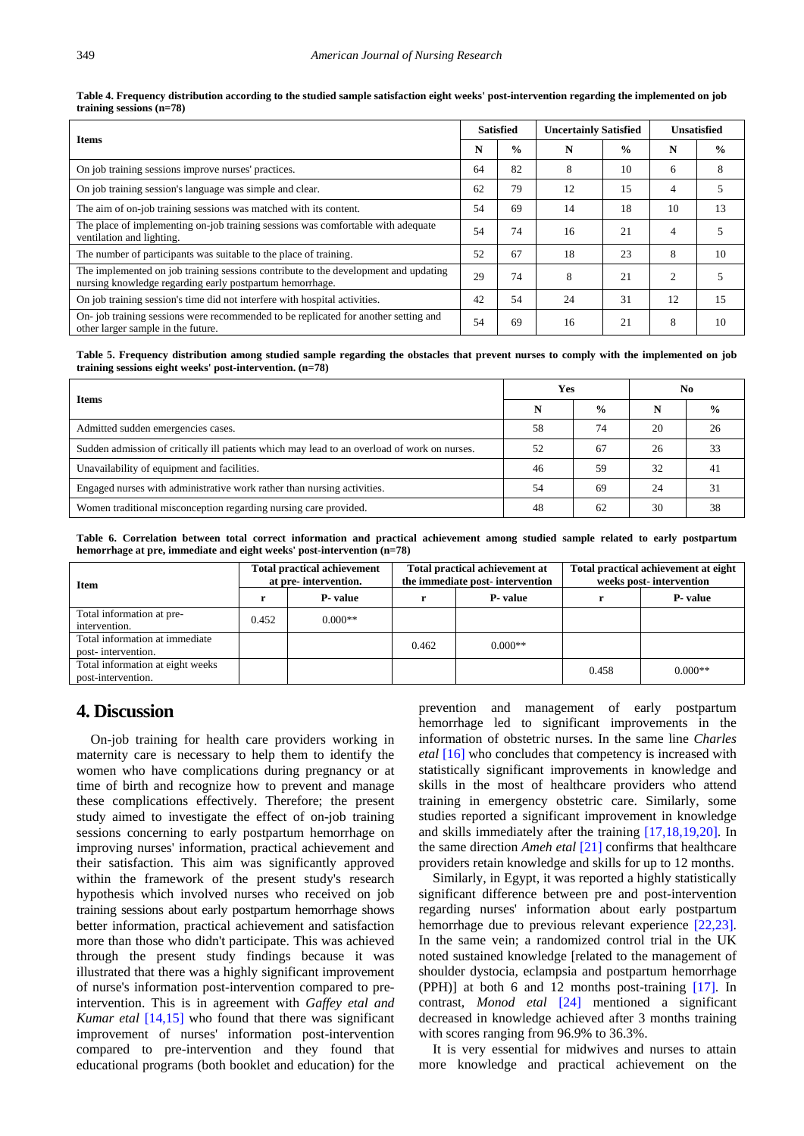| Table 4. Frequency distribution according to the studied sample satisfaction eight weeks' post-intervention regarding the implemented on job |  |
|----------------------------------------------------------------------------------------------------------------------------------------------|--|
| training sessions $(n=78)$                                                                                                                   |  |

<span id="page-5-0"></span>

| <b>Items</b>                                                                                                                                    |    | <b>Satisfied</b> | <b>Uncertainly Satisfied</b> |               | <b>Unsatisfied</b> |               |
|-------------------------------------------------------------------------------------------------------------------------------------------------|----|------------------|------------------------------|---------------|--------------------|---------------|
|                                                                                                                                                 |    | $\frac{0}{0}$    | N                            | $\frac{0}{0}$ | N                  | $\frac{0}{0}$ |
| On job training sessions improve nurses' practices.                                                                                             | 64 | 82               | 8                            | 10            | 6                  | 8             |
| On job training session's language was simple and clear.                                                                                        | 62 | 79               | 12                           | 15            | 4                  |               |
| The aim of on-job training sessions was matched with its content.                                                                               | 54 | 69               | 14                           | 18            | 10                 | 13            |
| The place of implementing on-job training sessions was comfortable with adequate<br>ventilation and lighting.                                   | 54 | 74               | 16                           | 21            | 4                  |               |
| The number of participants was suitable to the place of training.                                                                               | 52 | 67               | 18                           | 23            | 8                  | 10            |
| The implemented on job training sessions contribute to the development and updating<br>nursing knowledge regarding early postpartum hemorrhage. | 29 | 74               | 8                            | 21            | $\overline{c}$     |               |
| On job training session's time did not interfere with hospital activities.                                                                      | 42 | 54               | 24                           | 31            | 12                 | 15            |
| On-job training sessions were recommended to be replicated for another setting and<br>other larger sample in the future.                        | 54 | 69               | 16                           | 21            | 8                  | 10            |

**Table 5. Frequency distribution among studied sample regarding the obstacles that prevent nurses to comply with the implemented on job training sessions eight weeks' post-intervention. (n=78)**

<span id="page-5-1"></span>

| <b>Items</b>                                                                                 |    | Yes           | No |               |  |
|----------------------------------------------------------------------------------------------|----|---------------|----|---------------|--|
|                                                                                              |    | $\frac{0}{0}$ |    | $\frac{6}{9}$ |  |
| Admitted sudden emergencies cases.                                                           | 58 | 74            | 20 | 26            |  |
| Sudden admission of critically ill patients which may lead to an overload of work on nurses. | 52 | 67            | 26 | 33            |  |
| Unavailability of equipment and facilities.                                                  | 46 | 59            | 32 | 41            |  |
| Engaged nurses with administrative work rather than nursing activities.                      | 54 | 69            | 24 | 31            |  |
| Women traditional misconception regarding nursing care provided.                             | 48 | 62            | 30 | 38            |  |

**Table 6. Correlation between total correct information and practical achievement among studied sample related to early postpartum hemorrhage at pre, immediate and eight weeks' post-intervention (n=78)**

<span id="page-5-2"></span>

| <b>Item</b>                                            |       | <b>Total practical achievement</b><br>at pre-intervention. |                 | Total practical achievement at<br>the immediate post-intervention | Total practical achievement at eight<br>weeks post-intervention |           |  |
|--------------------------------------------------------|-------|------------------------------------------------------------|-----------------|-------------------------------------------------------------------|-----------------------------------------------------------------|-----------|--|
|                                                        |       | P- value                                                   | <b>P</b> -value |                                                                   |                                                                 | P-value   |  |
| Total information at pre-<br>intervention.             | 0.452 | $0.000**$                                                  |                 |                                                                   |                                                                 |           |  |
| Total information at immediate<br>post-intervention.   |       |                                                            | 0.462           | $0.000**$                                                         |                                                                 |           |  |
| Total information at eight weeks<br>post-intervention. |       |                                                            |                 |                                                                   | 0.458                                                           | $0.000**$ |  |

## **4. Discussion**

On-job training for health care providers working in maternity care is necessary to help them to identify the women who have complications during pregnancy or at time of birth and recognize how to prevent and manage these complications effectively. Therefore; the present study aimed to investigate the effect of on-job training sessions concerning to early postpartum hemorrhage on improving nurses' information, practical achievement and their satisfaction. This aim was significantly approved within the framework of the present study's research hypothesis which involved nurses who received on job training sessions about early postpartum hemorrhage shows better information, practical achievement and satisfaction more than those who didn't participate. This was achieved through the present study findings because it was illustrated that there was a highly significant improvement of nurse's information post-intervention compared to preintervention. This is in agreement with *Gaffey etal and Kumar etal* [\[14,15\]](#page-7-10) who found that there was significant improvement of nurses' information post-intervention compared to pre-intervention and they found that educational programs (both booklet and education) for the prevention and management of early postpartum hemorrhage led to significant improvements in the information of obstetric nurses. In the same line *Charles etal* [\[16\]](#page-7-11) who concludes that competency is increased with statistically significant improvements in knowledge and skills in the most of healthcare providers who attend training in emergency obstetric care. Similarly, some studies reported a significant improvement in knowledge and skills immediately after the training [\[17,18,19,20\].](#page-7-12) In the same direction *Ameh etal* [\[21\]](#page-7-13) confirms that healthcare providers retain knowledge and skills for up to 12 months.

Similarly, in Egypt, it was reported a highly statistically significant difference between pre and post-intervention regarding nurses' information about early postpartum hemorrhage due to previous relevant experience [\[22,23\].](#page-7-14) In the same vein; a randomized control trial in the UK noted sustained knowledge [related to the management of shoulder dystocia, eclampsia and postpartum hemorrhage (PPH)] at both 6 and 12 months post-training [\[17\].](#page-7-12) In contrast, *Monod etal* [\[24\]](#page-7-15) mentioned a significant decreased in knowledge achieved after 3 months training with scores ranging from 96.9% to 36.3%.

It is very essential for midwives and nurses to attain more knowledge and practical achievement on the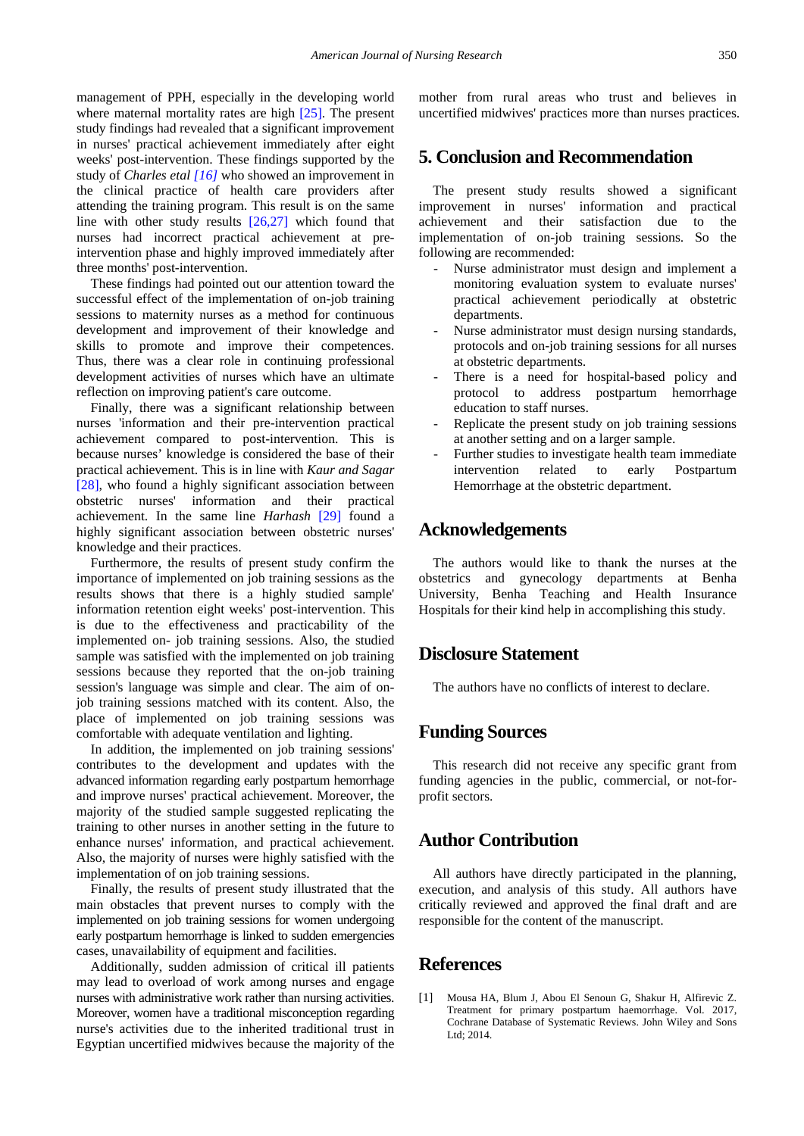management of PPH, especially in the developing world where maternal mortality rates are high [\[25\].](#page-7-16) The present study findings had revealed that a significant improvement in nurses' practical achievement immediately after eight weeks' post-intervention. These findings supported by the study of *Charles etal [\[16\]](#page-7-11)* who showed an improvement in the clinical practice of health care providers after attending the training program. This result is on the same line with other study results [\[26,27\]](#page-7-17) which found that nurses had incorrect practical achievement at preintervention phase and highly improved immediately after three months' post-intervention.

These findings had pointed out our attention toward the successful effect of the implementation of on-job training sessions to maternity nurses as a method for continuous development and improvement of their knowledge and skills to promote and improve their competences. Thus, there was a clear role in continuing professional development activities of nurses which have an ultimate reflection on improving patient's care outcome.

Finally, there was a significant relationship between nurses 'information and their pre-intervention practical achievement compared to post-intervention. This is because nurses' knowledge is considered the base of their practical achievement. This is in line with *Kaur and Sagar* [\[28\],](#page-7-18) who found a highly significant association between obstetric nurses' information and their practical achievement. In the same line *Harhash* [\[29\]](#page-7-19) found a highly significant association between obstetric nurses' knowledge and their practices.

Furthermore, the results of present study confirm the importance of implemented on job training sessions as the results shows that there is a highly studied sample' information retention eight weeks' post-intervention. This is due to the effectiveness and practicability of the implemented on- job training sessions. Also, the studied sample was satisfied with the implemented on job training sessions because they reported that the on-job training session's language was simple and clear. The aim of onjob training sessions matched with its content. Also, the place of implemented on job training sessions was comfortable with adequate ventilation and lighting.

In addition, the implemented on job training sessions' contributes to the development and updates with the advanced information regarding early postpartum hemorrhage and improve nurses' practical achievement. Moreover, the majority of the studied sample suggested replicating the training to other nurses in another setting in the future to enhance nurses' information, and practical achievement. Also, the majority of nurses were highly satisfied with the implementation of on job training sessions.

Finally, the results of present study illustrated that the main obstacles that prevent nurses to comply with the implemented on job training sessions for women undergoing early postpartum hemorrhage is linked to sudden emergencies cases, unavailability of equipment and facilities.

Additionally, sudden admission of critical ill patients may lead to overload of work among nurses and engage nurses with administrative work rather than nursing activities. Moreover, women have a traditional misconception regarding nurse's activities due to the inherited traditional trust in Egyptian uncertified midwives because the majority of the mother from rural areas who trust and believes in uncertified midwives' practices more than nurses practices.

# **5. Conclusion and Recommendation**

The present study results showed a significant improvement in nurses' information and practical achievement and their satisfaction due to the implementation of on-job training sessions. So the following are recommended:

- Nurse administrator must design and implement a monitoring evaluation system to evaluate nurses' practical achievement periodically at obstetric departments.
- Nurse administrator must design nursing standards, protocols and on-job training sessions for all nurses at obstetric departments.
- There is a need for hospital-based policy and protocol to address postpartum hemorrhage education to staff nurses.
- Replicate the present study on job training sessions at another setting and on a larger sample.
- Further studies to investigate health team immediate intervention related to early Postpartum Hemorrhage at the obstetric department.

# **Acknowledgements**

The authors would like to thank the nurses at the obstetrics and gynecology departments at Benha University, Benha Teaching and Health Insurance Hospitals for their kind help in accomplishing this study.

# **Disclosure Statement**

The authors have no conflicts of interest to declare.

# **Funding Sources**

This research did not receive any specific grant from funding agencies in the public, commercial, or not-forprofit sectors.

# **Author Contribution**

All authors have directly participated in the planning, execution, and analysis of this study. All authors have critically reviewed and approved the final draft and are responsible for the content of the manuscript.

# **References**

<span id="page-6-0"></span>[1] Mousa HA, Blum J, Abou El Senoun G, Shakur H, Alfirevic Z. Treatment for primary postpartum haemorrhage. Vol. 2017, Cochrane Database of Systematic Reviews. John Wiley and Sons Ltd; 2014.